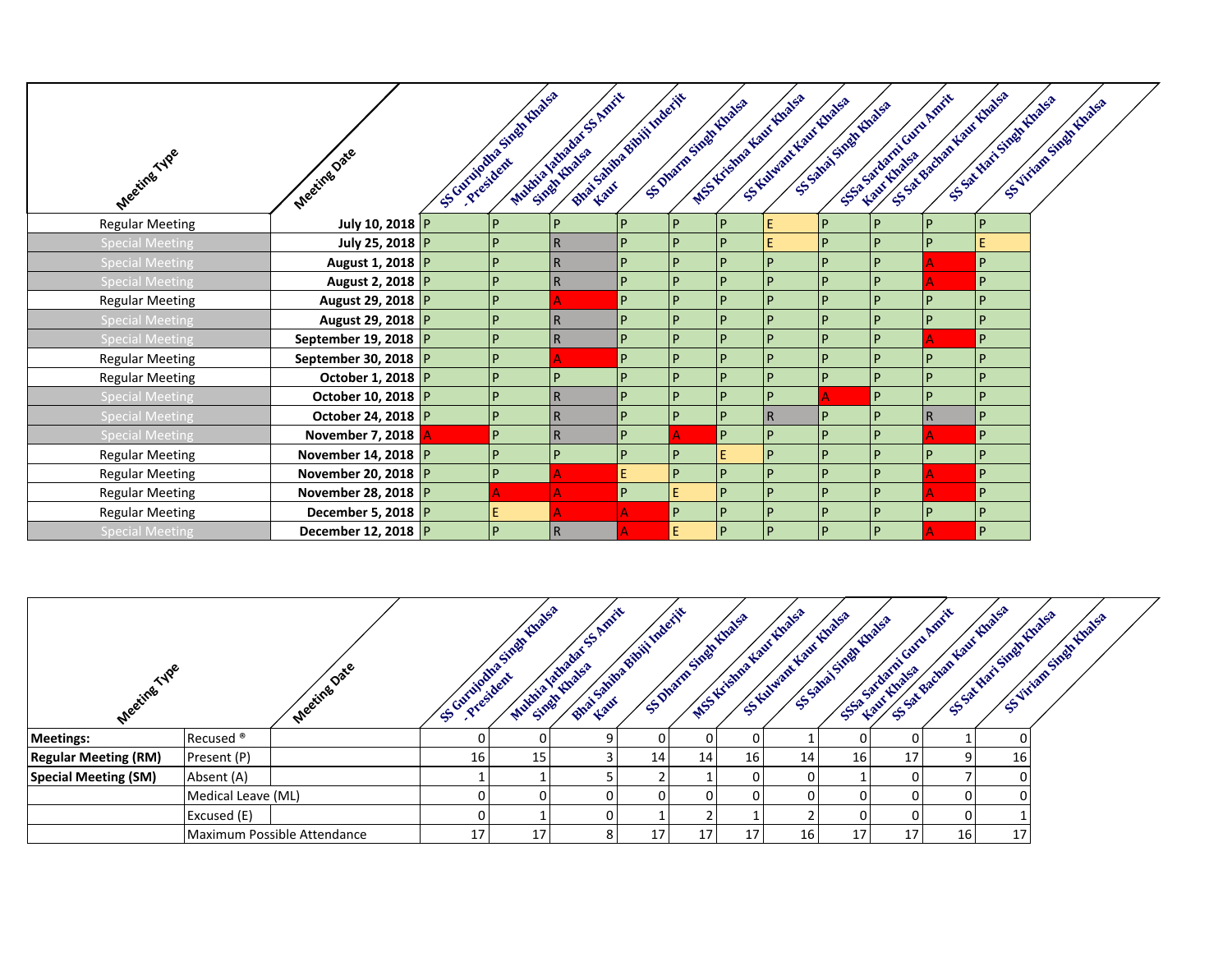|                        |                          | Scriptionary High Highs | Matthew Matthews S. Amrit<br>Bhai Santa Bhill Indecity |   |    |                        | MSS Kickma Kaw Khalsa |                        |     | SSA Badran Haut Huads<br>SS-3 Statements Gave America |                     |                          |
|------------------------|--------------------------|-------------------------|--------------------------------------------------------|---|----|------------------------|-----------------------|------------------------|-----|-------------------------------------------------------|---------------------|--------------------------|
|                        |                          |                         |                                                        |   |    | SS Dharm Singh (thatsa | S Kilwau Kanc Roads   | SS 3Mai Street Email & |     |                                                       | SS-SATTAN SINGHAMPS | SS VITEOR STREET (BORSES |
|                        |                          |                         |                                                        |   |    |                        |                       |                        |     |                                                       |                     |                          |
| Meeting Type           | Meeting Oate             |                         |                                                        |   |    |                        |                       |                        |     |                                                       |                     |                          |
| <b>Regular Meeting</b> | July 10, 2018 P          | D                       | D                                                      | D | D  | P                      | E                     | l P                    | P   | $\overline{P}$                                        | P                   |                          |
| <b>Special Meeting</b> | July 25, 2018 P          | P                       | l R                                                    | D | D  | P                      | Ε                     | l P                    | P   | P                                                     | E                   |                          |
| <b>Special Meeting</b> | August 1, 2018 P         |                         | $\mathsf{R}$                                           |   | D  | P                      | P                     |                        | P   |                                                       | $\mathsf{P}$        |                          |
| <b>Special Meeting</b> | August 2, 2018 P         | P                       | l R                                                    | D | p  | P                      | P                     | D                      | P   |                                                       | $\overline{P}$      |                          |
| <b>Regular Meeting</b> | August 29, 2018 P        | D                       |                                                        | D | D  | P                      | P                     |                        | P   | p                                                     | P                   |                          |
| <b>Special Meeting</b> | August 29, 2018 P        | D                       | l R                                                    | D | D  | P                      | P                     | D                      | P   | P                                                     | P                   |                          |
| <b>Special Meeting</b> | September 19, 2018 P     |                         | $\mathsf{R}$                                           | D | D  | P                      | p                     | D                      | P   |                                                       | $\overline{P}$      |                          |
| <b>Regular Meeting</b> | September 30, 2018 $ P $ |                         |                                                        | D | D  | P                      |                       |                        | P   | P                                                     | D                   |                          |
| <b>Regular Meeting</b> | October 1, 2018   P      | P                       | P                                                      | D | D  | P                      | P                     | D                      | P   | P                                                     | $\mathsf{P}$        |                          |
| <b>Special Meeting</b> | October 10, 2018   P     | D                       | $\mathsf{R}$                                           |   | D  | P                      | P                     |                        | P   | P                                                     | <b>P</b>            |                          |
| <b>Special Meeting</b> | October 24, 2018   P     | P                       | l R                                                    | D | D  | P                      | $\overline{R}$        | D                      | P   | $\overline{R}$                                        | P                   |                          |
| <b>Special Meeting</b> | November 7, 2018 A       | P                       | l R                                                    | D |    | P                      | P                     | D                      | P   |                                                       | $\overline{P}$      |                          |
| <b>Regular Meeting</b> | November 14, 2018 P      | D                       | P                                                      | D | D  | E                      | $\overline{P}$        | D                      | P   | P                                                     | P                   |                          |
| <b>Regular Meeting</b> | November 20, 2018 P      | P                       |                                                        |   | D  | P                      | D                     | D                      | P   |                                                       | $\overline{P}$      |                          |
| <b>Regular Meeting</b> | November 28, 2018 P      |                         |                                                        | P | E  | P                      | D                     | D                      | P   |                                                       | $\overline{P}$      |                          |
| <b>Regular Meeting</b> | December 5, 2018 $ P $   | E                       |                                                        |   | P  | P                      | P                     | l P                    | l P | $\overline{P}$                                        | $\overline{P}$      |                          |
| <b>Special Meeting</b> | December 12, 2018 P      | D                       | R                                                      |   | E. | P                      | P                     | D                      | P   |                                                       | $\overline{P}$      |                          |

| Meeting Type                |                      | Meeting Date                | Sc Curmous Sixon Hings River | Bhai Sanim Bhili Maerit<br>Muching River Res |    | S. Dharm Small Knaksa | WSS Kriema Kaw (Knass | S Kulmar Kan Rhaes | SS-Samai Snapt Huatsa |    | S. Fall Marie Bachart Rant Hoads | SS SALVAN SINGAL RIVERS OF | SS VIVIDER SINGLIFIED SP |
|-----------------------------|----------------------|-----------------------------|------------------------------|----------------------------------------------|----|-----------------------|-----------------------|--------------------|-----------------------|----|----------------------------------|----------------------------|--------------------------|
| Meetings:                   | Recused <sup>®</sup> |                             |                              |                                              |    |                       |                       |                    |                       |    |                                  |                            |                          |
| <b>Regular Meeting (RM)</b> | Present (P)          |                             | 16                           |                                              | 14 | 14                    | 16 <sub>1</sub>       | 14                 | 16 <sub>1</sub>       | 17 |                                  | 16 <sub>1</sub>            |                          |
| Special Meeting (SM)        | Absent (A)           |                             |                              |                                              |    |                       |                       |                    |                       |    |                                  |                            |                          |
|                             | Medical Leave (ML)   |                             |                              |                                              |    |                       |                       |                    |                       |    |                                  |                            |                          |
|                             | Excused (E)          |                             |                              |                                              |    |                       |                       |                    |                       |    |                                  |                            |                          |
|                             |                      | Maximum Possible Attendance |                              | 8                                            | 17 | 17                    |                       | 16                 | 17                    | 17 | 16 <sup>1</sup>                  | 17 <sub>1</sub>            |                          |